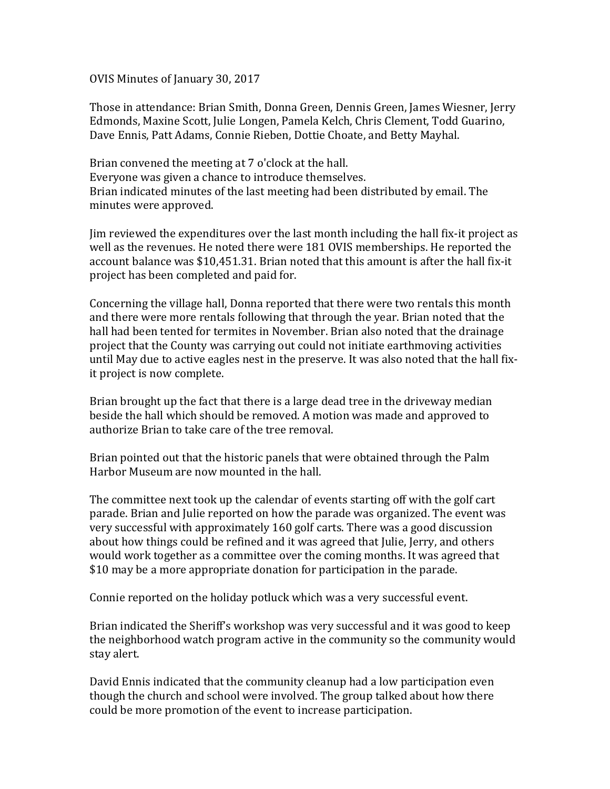OVIS Minutes of January 30, 2017

Those in attendance: Brian Smith, Donna Green, Dennis Green, James Wiesner, Jerry Edmonds, Maxine Scott, Julie Longen, Pamela Kelch, Chris Clement, Todd Guarino, Dave Ennis, Patt Adams, Connie Rieben, Dottie Choate, and Betty Mayhal.

Brian convened the meeting at 7 o'clock at the hall. Everyone was given a chance to introduce themselves. Brian indicated minutes of the last meeting had been distributed by email. The minutes were approved.

Jim reviewed the expenditures over the last month including the hall fix-it project as well as the revenues. He noted there were 181 OVIS memberships. He reported the account balance was \$10,451.31. Brian noted that this amount is after the hall fix-it project has been completed and paid for.

Concerning the village hall, Donna reported that there were two rentals this month and there were more rentals following that through the year. Brian noted that the hall had been tented for termites in November. Brian also noted that the drainage project that the County was carrying out could not initiate earthmoving activities until May due to active eagles nest in the preserve. It was also noted that the hall fixit project is now complete.

Brian brought up the fact that there is a large dead tree in the driveway median beside the hall which should be removed. A motion was made and approved to authorize Brian to take care of the tree removal.

Brian pointed out that the historic panels that were obtained through the Palm Harbor Museum are now mounted in the hall.

The committee next took up the calendar of events starting off with the golf cart parade. Brian and Julie reported on how the parade was organized. The event was very successful with approximately 160 golf carts. There was a good discussion about how things could be refined and it was agreed that Julie, Jerry, and others would work together as a committee over the coming months. It was agreed that \$10 may be a more appropriate donation for participation in the parade.

Connie reported on the holiday potluck which was a very successful event.

Brian indicated the Sheriff's workshop was very successful and it was good to keep the neighborhood watch program active in the community so the community would stay alert.

David Ennis indicated that the community cleanup had a low participation even though the church and school were involved. The group talked about how there could be more promotion of the event to increase participation.